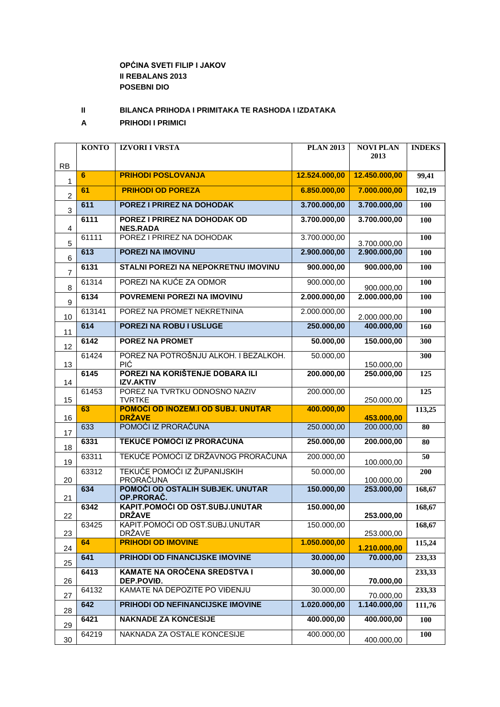## **OPĆINA SVETI FILIP I JAKOV II REBALANS 2013 POSEBNI DIO**

**II BILANCA PRIHODA I PRIMITAKA TE RASHODA I IZDATAKA**

**A PRIHODI I PRIMICI**

|                | <b>KONTO</b> | <b>IZVORI I VRSTA</b>                               | <b>PLAN 2013</b> | <b>NOVI PLAN</b>         | <b>INDEKS</b>    |
|----------------|--------------|-----------------------------------------------------|------------------|--------------------------|------------------|
| <b>RB</b>      |              |                                                     |                  | 2013                     |                  |
| $\mathbf{1}$   | 6            | <b>PRIHODI POSLOVANJA</b>                           | 12.524.000,00    | 12.450.000,00            | 99,41            |
| $\overline{2}$ | 61           | <b>PRIHODI OD POREZA</b>                            | 6.850.000,00     | 7.000.000,00             | 102,19           |
| 3              | 611          | POREZ I PRIREZ NA DOHODAK                           | 3.700.000,00     | 3.700.000,00             | 100              |
| 4              | 6111         | POREZ I PRIREZ NA DOHODAK OD<br><b>NES.RADA</b>     | 3.700.000,00     | 3.700.000,00             | 100              |
| 5              | 61111        | POREZ I PRIREZ NA DOHODAK                           | 3.700.000,00     | 3.700.000,00             | 100              |
| $\,6$          | 613          | <b>POREZI NA IMOVINU</b>                            | 2.900.000,00     | 2.900.000,00             | <b>100</b>       |
| $\overline{7}$ | 6131         | STALNI POREZI NA NEPOKRETNU IMOVINU                 | 900.000,00       | 900.000,00               | 100              |
| 8              | 61314        | POREZI NA KUĆE ZA ODMOR                             | 900.000,00       | 900.000,00               | 100              |
| 9              | 6134         | POVREMENI POREZI NA IMOVINU                         | 2.000.000,00     | 2.000.000,00             | 100              |
| 10             | 613141       | POREZ NA PROMET NEKRETNINA                          | 2.000.000,00     | 2.000.000,00             | 100              |
| 11             | 614          | <b>POREZI NA ROBU I USLUGE</b>                      | 250.000,00       | 400.000,00               | 160              |
| 12             | 6142         | <b>POREZ NA PROMET</b>                              | 50.000,00        | 150.000,00               | 300              |
|                | 61424        | POREZ NA POTROŠNJU ALKOH. I BEZALKOH.               | 50.000,00        |                          | $\overline{300}$ |
| 13             | 6145         | PIĆ<br>POREZI NA KORIŠTENJE DOBARA ILI              | 200.000,00       | 150.000,00<br>250.000,00 | 125              |
| 14             | 61453        | <b>IZV.AKTIV</b><br>POREZ NA TVRTKU ODNOSNO NAZIV   | 200.000,00       |                          | 125              |
| 15             |              | <b>TVRTKE</b>                                       |                  | 250.000,00               |                  |
| 16             | 63           | POMOĆI OD INOZEM.I OD SUBJ. UNUTAR<br><b>DRŽAVE</b> | 400.000,00       | 453.000,00               | 113,25           |
| 17             | 633          | POMOĆI IZ PRORAČUNA                                 | 250.000,00       | 200.000,00               | 80               |
| 18             | 6331         | <b>TEKUĆE POMOĆI IZ PRORAČUNA</b>                   | 250.000,00       | 200.000,00               | 80               |
| 19             | 63311        | TEKUĆE POMOĆI IZ DRŽAVNOG PRORAČUNA                 | 200.000,00       | 100.000,00               | 50               |
|                | 63312        | TEKUĆE POMOĆI IZ ŽUPANIJSKIH<br>PRORAČUNA           | 50.000,00        |                          | 200              |
| 20             | 634          | POMOĆI OD OSTALIH SUBJEK. UNUTAR                    | 150.000,00       | 100.000,00<br>253.000,00 | 168,67           |
| 21             | 6342         | OP.PRORAČ.<br>KAPIT.POMOĆI OD OST.SUBJ.UNUTAR       | 150.000,00       |                          | 168,67           |
| 22             |              | <b>DRŽAVE</b>                                       |                  | 253.000,00               |                  |
| 23             | 63425        | KAPIT.POMOĆI OD OST.SUBJ.UNUTAR<br><b>DRŽAVE</b>    | 150.000,00       | 253.000,00               | 168,67           |
| 24             | 64           | <b>PRIHODI OD IMOVINE</b>                           | 1.050.000,00     | 1.210.000,00             | 115,24           |
| 25             | 641          | PRIHODI OD FINANCIJSKE IMOVINE                      | 30.000,00        | 70.000,00                | 233,33           |
| 26             | 6413         | <b>KAMATE NA OROČENA SREDSTVA I</b><br>DEP.POVIĐ.   | 30.000,00        | 70.000,00                | 233,33           |
| 27             | 64132        | KAMATE NA DEPOZITE PO VIĐENJU                       | 30.000,00        | 70.000,00                | 233,33           |
| 28             | 642          | PRIHODI OD NEFINANCIJSKE IMOVINE                    | 1.020.000,00     | 1.140.000,00             | 111,76           |
| 29             | 6421         | <b>NAKNADE ZA KONCESIJE</b>                         | 400.000,00       | 400.000,00               | 100              |
| 30             | 64219        | NAKNADA ZA OSTALE KONCESIJE                         | 400.000,00       | 400.000,00               | 100              |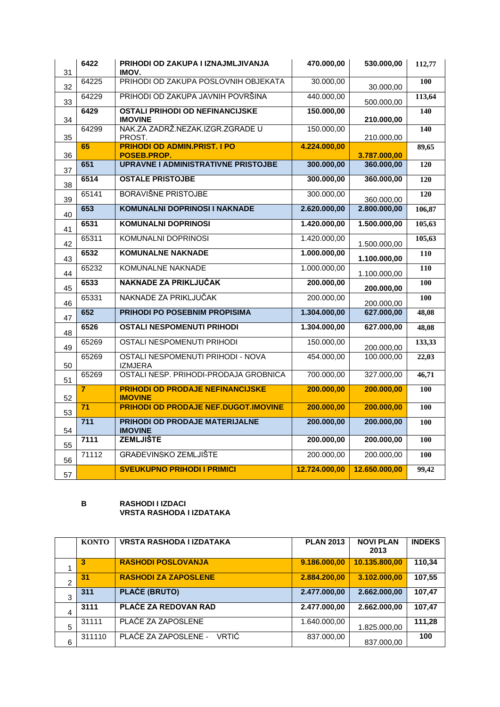| 31 | 6422             | PRIHODI OD ZAKUPA I IZNAJMLJIVANJA<br>IMOV.               | 470.000,00    | 530.000,00    | 112,77           |
|----|------------------|-----------------------------------------------------------|---------------|---------------|------------------|
| 32 | 64225            | PRIHODI OD ZAKUPA POSLOVNIH OBJEKATA                      | 30.000,00     | 30.000,00     | 100              |
| 33 | 64229            | PRIHODI OD ZAKUPA JAVNIH POVRŠINA                         | 440.000,00    | 500.000,00    | 113,64           |
| 34 | 6429             | <b>OSTALI PRIHODI OD NEFINANCIJSKE</b><br><b>IMOVINE</b>  | 150.000,00    | 210.000,00    | 140              |
| 35 | 64299            | NAK.ZA ZADRŽ.NEZAK.IZGR.ZGRADE U<br>PROST.                | 150.000,00    | 210.000,00    | 140              |
| 36 | 65               | <b>PRIHODI OD ADMIN.PRIST. I PO</b><br>POSEB.PROP.        | 4.224.000,00  | 3.787.000,00  | 89,65            |
| 37 | 651              | <b>UPRAVNE I ADMINISTRATIVNE PRISTOJBE</b>                | 300.000,00    | 360.000,00    | 120              |
| 38 | 6514             | <b>OSTALE PRISTOJBE</b>                                   | 300.000,00    | 360.000,00    | 120              |
| 39 | 65141            | <b>BORAVIŠNE PRISTOJBE</b>                                | 300.000,00    | 360.000,00    | 120              |
| 40 | 653              | <b>KOMUNALNI DOPRINOSI I NAKNADE</b>                      | 2.620.000,00  | 2.800.000,00  | 106,87           |
| 41 | 6531             | <b>KOMUNALNI DOPRINOSI</b>                                | 1.420.000,00  | 1.500.000,00  | 105,63           |
| 42 | 65311            | <b>KOMUNALNI DOPRINOSI</b>                                | 1.420.000,00  | 1.500.000,00  | 105,63           |
| 43 | 6532             | <b>KOMUNALNE NAKNADE</b>                                  | 1.000.000,00  | 1.100.000,00  | 110              |
| 44 | 65232            | <b>KOMUNALNE NAKNADE</b>                                  | 1.000.000,00  | 1.100.000,00  | $\overline{110}$ |
| 45 | 6533             | NAKNADE ZA PRIKLJUČAK                                     | 200.000,00    | 200.000,00    | 100              |
| 46 | 65331            | NAKNADE ZA PRIKLJUČAK                                     | 200.000,00    | 200.000,00    | 100              |
| 47 | 652              | <b>PRIHODI PO POSEBNIM PROPISIMA</b>                      | 1.304.000,00  | 627.000,00    | 48,08            |
| 48 | 6526             | <b>OSTALI NESPOMENUTI PRIHODI</b>                         | 1.304.000,00  | 627.000,00    | 48,08            |
| 49 | 65269            | <b>OSTALI NESPOMENUTI PRIHODI</b>                         | 150.000,00    | 200.000,00    | 133,33           |
| 50 | 65269            | OSTALI NESPOMENUTI PRIHODI - NOVA<br><b>IZMJERA</b>       | 454.000,00    | 100.000,00    | 22,03            |
| 51 | 65269            | OSTALI NESP. PRIHODI-PRODAJA GROBNICA                     | 700.000,00    | 327.000,00    | 46,71            |
| 52 | $\overline{7}$   | <b>PRIHODI OD PRODAJE NEFINANCIJSKE</b><br><b>IMOVINE</b> | 200.000,00    | 200.000,00    | 100              |
| 53 | 71               | <b>PRIHODI OD PRODAJE NEF.DUGOT.IMOVINE</b>               | 200.000,00    | 200.000,00    | 100              |
| 54 | $\overline{711}$ | <b>PRIHODI OD PRODAJE MATERIJALNE</b><br><b>IMOVINE</b>   | 200.000,00    | 200.000,00    | 100              |
| 55 | 7111             | <b>ZEMLJIŠTE</b>                                          | 200.000,00    | 200.000,00    | 100              |
| 56 | 71112            | <b>GRAĐEVINSKO ZEMLJIŠTE</b>                              | 200.000,00    | 200.000,00    | 100              |
| 57 |                  | <b>SVEUKUPNO PRIHODI I PRIMICI</b>                        | 12.724.000,00 | 12.650.000,00 | 99,42            |

## **B RASHODI I IZDACI VRSTA RASHODA I IZDATAKA**

|                | <b>KONTO</b> | <b>VRSTA RASHODA I IZDATAKA</b> | <b>PLAN 2013</b> | <b>NOVI PLAN</b><br>2013 | <b>INDEKS</b> |
|----------------|--------------|---------------------------------|------------------|--------------------------|---------------|
|                | 3            | <b>RASHODI POSLOVANJA</b>       | 9.186.000,00     | 10.135.800,00            | 110,34        |
| $\overline{2}$ | 31           | <b>RASHODI ZA ZAPOSLENE</b>     | 2.884.200,00     | 3.102.000,00             | 107,55        |
| 3              | 311          | <b>PLAĆE (BRUTO)</b>            | 2.477.000,00     | 2.662.000,00             | 107,47        |
| 4              | 3111         | PLAĆE ZA REDOVAN RAD            | 2.477.000,00     | 2.662.000,00             | 107,47        |
| 5              | 31111        | PLACE ZA ZAPOSLENE              | 1.640.000.00     | 1.825.000.00             | 111,28        |
| 6              | 311110       | PLAĆE ZA ZAPOSLENE -<br>VRTIĆ   | 837.000,00       | 837.000,00               | 100           |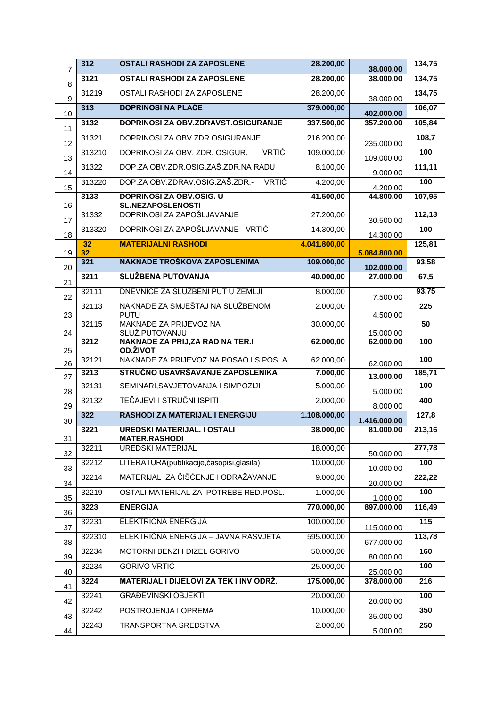| $\overline{7}$<br>3121<br><b>OSTALI RASHODI ZA ZAPOSLENE</b><br>28.200,00<br>8        | 38.000,00               |        |
|---------------------------------------------------------------------------------------|-------------------------|--------|
|                                                                                       | 38.000,00               | 134,75 |
| 31219<br>OSTALI RASHODI ZA ZAPOSLENE<br>28.200,00<br>9                                | 38.000,00               | 134,75 |
| 313<br><b>DOPRINOSI NA PLAĆE</b><br>379.000,00<br>10                                  | 402.000,00              | 106,07 |
| 3132<br>DOPRINOSI ZA OBV.ZDRAVST.OSIGURANJE<br>337.500,00<br>11                       | 357.200,00              | 105,84 |
| DOPRINOSI ZA OBV.ZDR.OSIGURANJE<br>31321<br>216.200,00<br>12                          | 235.000,00              | 108,7  |
| DOPRINOSI ZA OBV. ZDR. OSIGUR.<br><b>VRTIĆ</b><br>313210<br>109.000,00<br>13          | 109.000,00              | 100    |
| DOP.ZA OBV.ZDR.OSIG.ZAŠ.ZDR.NA RADU<br>31322<br>8.100,00<br>14                        | 9.000,00                | 111,11 |
| DOP.ZA OBV.ZDRAV.OSIG.ZAŠ.ZDR.-<br><b>VRTIĆ</b><br>4.200,00<br>313220<br>15           | 4.200,00                | 100    |
| 3133<br>DOPRINOSI ZA OBV.OSIG. U<br>41.500,00<br><b>SL.NEZAPOSLENOSTI</b>             | 44.800,00               | 107,95 |
| 16<br>DOPRINOSI ZA ZAPOŠLJAVANJE<br>31332<br>27.200,00<br>17                          |                         | 112,13 |
| DOPRINOSI ZA ZAPOŠLJAVANJE - VRTIĆ<br>313320<br>14.300,00<br>18                       | 30.500,00               | 100    |
| 32<br><b>MATERIJALNI RASHODI</b><br>4.041.800,00                                      | 14.300,00               | 125,81 |
| 32<br>19<br>5.084.800,00<br>NAKNADE TROŠKOVA ZAPOSLENIMA<br>321<br>109.000,00         |                         | 93,58  |
| 20<br><b>SLUŽBENA PUTOVANJA</b><br>3211<br>40.000,00                                  | 102.000,00<br>27.000,00 | 67,5   |
| 21<br>DNEVNICE ZA SLUŽBENI PUT U ZEMLJI<br>32111<br>8.000,00                          |                         | 93,75  |
| 22<br>NAKNADE ZA SMJEŠTAJ NA SLUŽBENOM<br>32113<br>2.000,00                           | 7.500,00                | 225    |
| <b>PUTU</b><br>23                                                                     | 4.500,00                |        |
| MAKNADE ZA PRIJEVOZ NA<br>32115<br>30.000,00<br>SLUŽ.PUTOVANJU<br>24                  | 15.000,00               | 50     |
| <b>NAKNADE ZA PRIJ, ZA RAD NA TER.I</b><br>3212<br>62.000,00<br><b>OD.ŽIVOT</b><br>25 | 62.000,00               | 100    |
| NAKNADE ZA PRIJEVOZ NA POSAO I S POSLA<br>62.000,00<br>32121<br>26                    | 62.000,00               | 100    |
| STRUČNO USAVRŠAVANJE ZAPOSLENIKA<br>3213<br>7.000,00<br>27                            | 13.000,00               | 185,71 |
| SEMINARI, SAVJETOVANJA I SIMPOZIJI<br>32131<br>5.000,00<br>28                         | 5.000,00                | 100    |
| TEČAJEVI I STRUČNI ISPITI<br>32132<br>2.000,00<br>29                                  | 8.000,00                | 400    |
| 322<br>1.108.000,00<br>RASHODI ZA MATERIJAL I ENERGIJU<br>30                          | 1.416.000,00            | 127,8  |
| <b>UREDSKI MATERIJAL. I OSTALI</b><br>3221<br>38.000,00<br><b>MATER.RASHODI</b>       | 81.000,00               | 213,16 |
| 31<br><b>UREDSKI MATERIJAL</b><br>32211<br>18.000,00<br>32                            | 50.000,00               | 277,78 |
| LITERATURA(publikacije, časopisi, glasila)<br>32212<br>10.000,00<br>33                | 10.000,00               | 100    |
| MATERIJAL ZA ČIŠĆENJE I ODRAŽAVANJE<br>32214<br>9.000,00<br>34                        | 20.000,00               | 222,22 |
| OSTALI MATERIJAL ZA POTREBE RED.POSL.<br>1.000,00<br>32219<br>35                      | 1.000,00                | 100    |
| 3223<br><b>ENERGIJA</b><br>770.000,00<br>36                                           | 897.000,00              | 116,49 |
| ELEKTRIČNA ENERGIJA<br>100.000,00<br>32231<br>37                                      | 115.000,00              | 115    |
| ELEKTRIČNA ENERGIJA - JAVNA RASVJETA<br>595.000,00<br>322310<br>38                    | 677.000,00              | 113,78 |
| MOTORNI BENZI I DIZEL GORIVO<br>50.000,00<br>32234<br>39                              | 80.000,00               | 160    |
| <b>GORIVO VRTIĆ</b><br>32234<br>25.000,00<br>40                                       | 25.000,00               | 100    |
| MATERIJAL I DIJELOVI ZA TEK I INV ODRŽ.<br>175.000,00<br>3224<br>41                   | 378.000,00              | 216    |
| <b>GRAĐEVINSKI OBJEKTI</b><br>20.000,00<br>32241<br>42                                | 20.000,00               | 100    |
| POSTROJENJA I OPREMA<br>10.000,00<br>32242<br>43                                      | 35.000,00               | 350    |
| TRANSPORTNA SREDSTVA<br>2.000,00<br>32243<br>44                                       | 5.000,00                | 250    |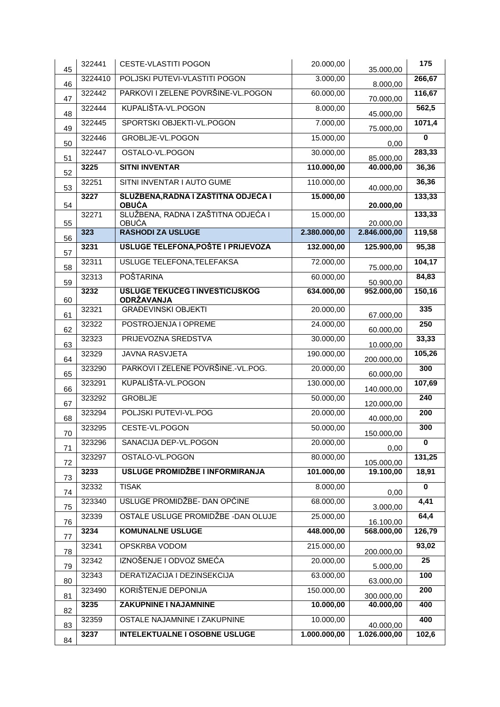| 45       | 322441  | <b>CESTE-VLASTITI POGON</b>                         | 20.000,00    | 35.000,00               | 175                     |
|----------|---------|-----------------------------------------------------|--------------|-------------------------|-------------------------|
| 46       | 3224410 | POLJSKI PUTEVI-VLASTITI POGON                       | 3.000,00     | 8.000,00                | 266,67                  |
| 47       | 322442  | PARKOVI I ZELENE POVRŠINE-VL.POGON                  | 60.000,00    | 70.000,00               | 116,67                  |
| 48       | 322444  | KUPALIŠTA-VL.POGON                                  | 8.000,00     | 45.000,00               | 562,5                   |
| 49       | 322445  | SPORTSKI OBJEKTI-VL.POGON                           | 7.000,00     | 75.000,00               | 1071,4                  |
| 50       | 322446  | <b>GROBLJE-VL.POGON</b>                             | 15.000,00    | 0,00                    | $\bf{0}$                |
| 51       | 322447  | OSTALO-VL.POGON                                     | 30.000,00    | 85.000,00               | 283,33                  |
| 52       | 3225    | <b>SITNI INVENTAR</b>                               | 110.000,00   | 40.000,00               | 36,36                   |
| 53       | 32251   | SITNI INVENTAR I AUTO GUME                          | 110.000,00   | 40.000,00               | 36,36                   |
| 54       | 3227    | SLUŽBENA, RADNA I ZAŠTITNA ODJEĆA I<br><b>OBUĆA</b> | 15.000,00    | 20.000,00               | 133,33                  |
| 55       | 32271   | SLUŽBENA, RADNA I ZAŠTITNA ODJEĆA I<br><b>OBUĆA</b> | 15.000,00    | 20.000,00               | 133,33                  |
| 56       | 323     | <b>RASHODI ZA USLUGE</b>                            | 2.380.000,00 | 2.846.000,00            | 119,58                  |
| 57       | 3231    | <b>USLUGE TELEFONA, POŠTE I PRIJEVOZA</b>           | 132.000,00   | 125.900,00              | 95,38                   |
| 58       | 32311   | <b>USLUGE TELEFONA, TELEFAKSA</b>                   | 72.000,00    | 75.000,00               | 104,17                  |
| 59       | 32313   | <b>POŠTARINA</b>                                    | 60.000,00    | 50.900,00               | 84,83                   |
|          | 3232    | <b>USLUGE TEKUĆEG I INVESTICIJSKOG</b>              | 634.000,00   | 952.000,00              | 150,16                  |
| 60       | 32321   | ODRŽAVANJA<br><b>GRAĐEVINSKI OBJEKTI</b>            | 20.000,00    |                         | 335                     |
| 61       | 32322   | POSTROJENJA I OPREME                                | 24.000,00    | 67.000,00               | 250                     |
| 62       | 32323   | PRIJEVOZNA SREDSTVA                                 | 30.000,00    | 60.000,00               | 33,33                   |
| 63<br>64 | 32329   | <b>JAVNA RASVJETA</b>                               | 190.000,00   | 10.000,00<br>200.000,00 | 105,26                  |
| 65       | 323290  | PARKOVI I ZELENE POVRŠINE.-VL.POG.                  | 20.000,00    | 60.000,00               | 300                     |
| 66       | 323291  | KUPALIŠTA-VL.POGON                                  | 130.000,00   | 140.000,00              | 107,69                  |
| 67       | 323292  | <b>GROBLJE</b>                                      | 50.000,00    | 120.000,00              | 240                     |
| 68       | 323294  | POLJSKI PUTEVI-VL.POG                               | 20.000,00    | 40.000,00               | 200                     |
| 70       | 323295  | CESTE-VL.POGON                                      | 50.000,00    | 150.000,00              | 300                     |
| 71       | 323296  | SANACIJA DEP-VL.POGON                               | 20.000,00    | 0,00                    | $\mathbf 0$             |
| 72       | 323297  | OSTALO-VL.POGON                                     | 80.000,00    | 105.000,00              | 131,25                  |
| 73       | 3233    | USLUGE PROMIDŽBE I INFORMIRANJA                     | 101.000,00   | 19.100,00               | 18,91                   |
| 74       | 32332   | <b>TISAK</b>                                        | 8.000,00     | 0,00                    | $\overline{\mathbf{0}}$ |
| 75       | 323340  | USLUGE PROMIDŽBE- DAN OPĆINE                        | 68.000,00    | 3.000,00                | 4,41                    |
| 76       | 32339   | OSTALE USLUGE PROMIDŽBE - DAN OLUJE                 | 25.000,00    | 16.100,00               | 64,4                    |
| 77       | 3234    | <b>KOMUNALNE USLUGE</b>                             | 448.000,00   | 568.000,00              | 126,79                  |
| 78       | 32341   | <b>OPSKRBA VODOM</b>                                | 215.000,00   | 200.000,00              | 93,02                   |
| 79       | 32342   | IZNOŠENJE I ODVOZ SMEĆA                             | 20.000,00    | 5.000,00                | 25                      |
| 80       | 32343   | DERATIZACIJA I DEZINSEKCIJA                         | 63.000,00    | 63.000,00               | 100                     |
| 81       | 323490  | KORIŠTENJE DEPONIJA                                 | 150.000,00   | 300.000,00              | 200                     |
| 82       | 3235    | ZAKUPNINE I NAJAMNINE                               | 10.000,00    | 40.000,00               | 400                     |
| 83       | 32359   | <b>OSTALE NAJAMNINE I ZAKUPNINE</b>                 | 10.000,00    | 40.000,00               | 400                     |
| 84       | 3237    | <b>INTELEKTUALNE I OSOBNE USLUGE</b>                | 1.000.000,00 | 1.026.000,00            | 102,6                   |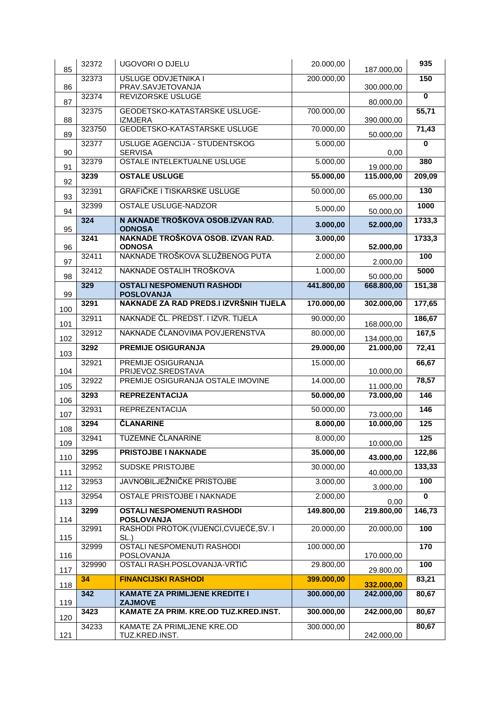| 85         | 32372           | <b>UGOVORI O DJELU</b>                                 | 20.000,00              | 187.000,00 | 935             |
|------------|-----------------|--------------------------------------------------------|------------------------|------------|-----------------|
| 86         | 32373           | <b>USLUGE ODVJETNIKA I</b><br>PRAV.SAVJETOVANJA        | 200.000,00             | 300.000,00 | 150             |
| 87         | 32374           | <b>REVIZORSKE USLUGE</b>                               |                        | 80.000,00  | $\bf{0}$        |
| 88         | 32375           | GEODETSKO-KATASTARSKE USLUGE-<br><b>IZMJERA</b>        | 700.000,00             | 390.000,00 | 55,71           |
| 89         | 323750          | <b>GEODETSKO-KATASTARSKE USLUGE</b>                    | 70.000,00              | 50.000,00  | 71,43           |
| 90         | 32377           | USLUGE AGENCIJA - STUDENTSKOG<br><b>SERVISA</b>        | 5.000,00               | 0,00       | 0               |
| 91         | 32379           | <b>OSTALE INTELEKTUALNE USLUGE</b>                     | 5.000,00               | 19.000,00  | 380             |
| 92         | 3239            | <b>OSTALE USLUGE</b>                                   | 55.000,00              | 115.000,00 | 209,09          |
| 93         | 32391           | <b>GRAFIČKE I TISKARSKE USLUGE</b>                     | $\overline{50.00}0,00$ | 65.000,00  | 130             |
| 94         | 32399           | <b>OSTALE USLUGE-NADZOR</b>                            | 5.000,00               | 50.000,00  | 1000            |
| 95         | 324             | N AKNADE TROŠKOVA OSOB.IZVAN RAD.<br><b>ODNOSA</b>     | 3.000,00               | 52.000,00  | 1733,3          |
| 96         | 3241            | NAKNADE TROŠKOVA OSOB. IZVAN RAD.<br><b>ODNOSA</b>     | 3.000,00               | 52.000,00  | 1733,3          |
| 97         | 32411           | NAKNADE TROŠKOVA SLUŽBENOG PUTA                        | 2.000,00               | 2.000,00   | 100             |
| 98         | 32412           | NAKNADE OSTALIH TROŠKOVA                               | 1.000,00               | 50.000,00  | 5000            |
| 99         | 329             | <b>OSTALI NESPOMENUTI RASHODI</b><br><b>POSLOVANJA</b> | 441.800,00             | 668.800,00 | 151,38          |
|            | 3291            | NAKNADE ZA RAD PREDS.I IZVRŠNIH TIJELA                 | 170.000,00             | 302.000,00 | 177,65          |
| 100<br>101 | 32911           | NAKNADE ČL. PREDST. I IZVR. TIJELA                     | 90.000,00              | 168.000,00 | 186,67          |
| 102        | 32912           | NAKNADE ČLANOVIMA POVJERENSTVA                         | 80.000,00              | 134.000,00 | 167,5           |
| 103        | 3292            | <b>PREMIJE OSIGURANJA</b>                              | 29.000,00              | 21.000,00  | 72,41           |
| 104        | 32921           | PREMIJE OSIGURANJA<br>PRIJEVOZ.SREDSTAVA               | 15.000,00              | 10.000,00  | 66,67           |
| 105        | 32922           | PREMIJE OSIGURANJA OSTALE IMOVINE                      | 14.000,00              | 11.000,00  | 78,57           |
| 106        | 3293            | <b>REPREZENTACIJA</b>                                  | 50.000,00              | 73.000,00  | 146             |
| 107        | 32931           | <b>REPREZENTACIJA</b>                                  | 50.000,00              | 73.000,00  | 146             |
| 108        | 3294            | <b>ČLANARINE</b>                                       | 8.000,00               | 10.000,00  | $\frac{1}{125}$ |
| 109        | 32941           | TUZEMNE ČLANARINE                                      | 8.000,00               | 10.000,00  | 125             |
| 110        | 3295            | PRISTOJBE I NAKNADE                                    | 35.000,00              | 43.000,00  | 122,86          |
| 111        | 32952           | <b>SUDSKE PRISTOJBE</b>                                | 30.000,00              | 40.000,00  | 133,33          |
| 112        | 32953           | JAVNOBILJEŽNIČKE PRISTOJBE                             | 3.000,00               | 3.000,00   | 100             |
| 113        | 32954           | <b>OSTALE PRISTOJBE I NAKNADE</b>                      | 2.000,00               | 0,00       | $\mathbf{0}$    |
| 114        | 3299            | <b>OSTALI NESPOMENUTI RASHODI</b><br><b>POSLOVANJA</b> | 149.800,00             | 219.800,00 | 146,73          |
| 115        | 32991           | RASHODI PROTOK.(VIJENCI, CVIJEĆE, SV. I<br>SL.)        | 20.000,00              | 20.000,00  | 100             |
| 116        | 32999           | OSTALI NESPOMENUTI RASHODI<br>POSLOVANJA               | 100.000,00             | 170.000,00 | 170             |
| 117        | 329990          | OSTALI RASH.POSLOVANJA-VRTIĆ                           | 29.800,00              | 29.800,00  | 100             |
| 118        | 34              | <b>FINANCIJSKI RASHODI</b>                             | 399.000,00             | 332.000,00 | 83,21           |
|            | $\frac{1}{342}$ | <b>KAMATE ZA PRIMLJENE KREDITE I</b><br><b>ZAJMOVE</b> | 300.000,00             | 242.000,00 | 80,67           |
| 119        | 3423            | KAMATE ZA PRIM. KRE.OD TUZ.KRED.INST.                  | 300.000,00             | 242.000,00 | 80,67           |
| 120        | 34233           | KAMATE ZA PRIMLJENE KRE.OD                             | 300.000,00             |            | 80,67           |
| 121        |                 | TUZ.KRED.INST.                                         |                        | 242.000,00 |                 |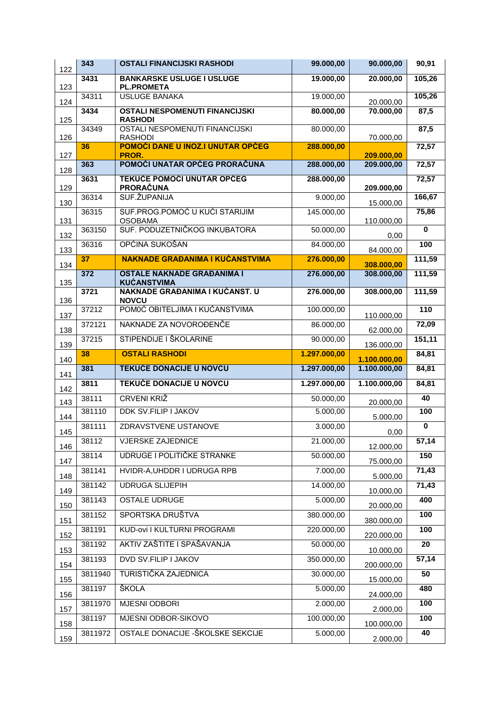| 122        | 343               | <b>OSTALI FINANCIJSKI RASHODI</b>                        | 99.000,00              | 90.000,00                    | 90,91                   |
|------------|-------------------|----------------------------------------------------------|------------------------|------------------------------|-------------------------|
| 123        | 3431              | <b>BANKARSKE USLUGE I USLUGE</b><br><b>PL.PROMETA</b>    | 19.000,00              | 20.000,00                    | 105,26                  |
| 124        | 34311             | <b>USLUGE BANAKA</b>                                     | 19.000,00              | 20.000,00                    | 105,26                  |
| 125        | 3434              | <b>OSTALI NESPOMENUTI FINANCIJSKI</b><br><b>RASHODI</b>  | 80.000,00              | 70.000,00                    | 87,5                    |
| 126        | 34349             | OSTALI NESPOMENUTI FINANCIJSKI<br><b>RASHODI</b>         | 80.000,00              | 70.000,00                    | 87,5                    |
| 127        | 36                | POMOĆI DANE U INOZ.I UNUTAR OPĆEG<br>PROR.               | 288.000,00             | 209.000,00                   | 72,57                   |
| 128        | 363               | POMOĆI UNATAR OPĆEG PRORAČUNA                            | 288.000,00             | 209.000,00                   | 72,57                   |
| 129        | 3631              | <b>TEKUĆE POMOĆI UNUTAR OPĆEG</b><br>PRORAČUNA           | 288.000,00             | 209.000,00                   | 72,57                   |
| 130        | 36314             | SUF. ŽUPANIJA                                            | 9.000,00               | 15.000,00                    | 166,67                  |
| 131        | 36315             | SUF.PROG.POMOĆ U KUĆI STARIJIM<br><b>OSOBAMA</b>         | 145.000,00             | 110.000,00                   | 75,86                   |
| 132        | 363150            | SUF. PODUZETNIČKOG INKUBATORA                            | 50.000,00              | 0,00                         | $\overline{\mathbf{0}}$ |
| 133        | 36316             | OPĆINA SUKOŠAN                                           | 84.000,00              | 84.000,00                    | 100                     |
| 134        | 37                | <b>NAKNADE GRAĐANIMA I KUĆANSTVIMA</b>                   | 276.000,00             | 308.000,00                   | 111,59                  |
| 135        | 372               | <b>OSTALE NAKNADE GRAĐANIMA I</b><br><b>KUĆANSTVIMA</b>  | 276.000,00             | 308.000,00                   | 111,59                  |
| 136        | 3721              | NAKNADE GRAĐANIMA I KUĆANST. U<br><b>NOVCU</b>           | 276.000,00             | 308.000,00                   | 111,59                  |
| 137        | 37212             | POMOĆ OBITELJIMA I KUĆANSTVIMA                           | 100.000,00             | 110.000,00                   | 110                     |
| 138        | 372121            | NAKNADE ZA NOVOROĐENČE                                   | 86.000,00              | 62.000,00                    | 72,09                   |
| 139        | 37215             | STIPENDIJE I ŠKOLARINE                                   | 90.000,00              | 136.000,00                   | 151,11                  |
|            |                   |                                                          |                        |                              |                         |
|            | 38                | <b>OSTALI RASHODI</b>                                    | 1.297.000,00           |                              | 84,81                   |
| 140        | 381               | <b>TEKUĆE DONACIJE U NOVCU</b>                           | 1.297.000,00           | 1.100.000,00<br>1.100.000,00 | 84,81                   |
| 141        | 3811              | <b>TEKUĆE DONACIJE U NOVCU</b>                           | 1.297.000,00           | 1.100.000,00                 | 84,81                   |
| 142<br>143 | 38111             | <b>CRVENI KRIŽ</b>                                       | 50.000,00              | 20.000,00                    | 40                      |
| 144        | 381110            | <b>DDK SV. FILIP I JAKOV</b>                             | 5.000,00               | 5.000,00                     | 100                     |
| 145        | 381111            | ZDRAVSTVENE USTANOVE                                     | 3.000,00               | 0,00                         | $\mathbf 0$             |
| 146        | 38112             | <b>VJERSKE ZAJEDNICE</b>                                 | 21.000,00              |                              | 57,14                   |
| 147        | 38114             | UDRUGE I POLITIČKE STRANKE                               | 50.000,00              | 12.000,00                    | 150                     |
| 148        | 381141            | HVIDR-A, UHDDR I UDRUGA RPB                              | 7.000,00               | 75.000,00                    | 71,43                   |
| 149        | 381142            | <b>UDRUGA SLIJEPIH</b>                                   | 14.000,00              | 5.000,00                     | 71,43                   |
|            | 381143            | <b>OSTALE UDRUGE</b>                                     | 5.000,00               | 10.000,00                    | 400                     |
| 150        | 381152            | SPORTSKA DRUŠTVA                                         | 380.000,00             | 20.000,00                    | 100                     |
| 151        | 381191            | KUD-ovi I KULTURNI PROGRAMI                              | 220.000,00             | 380.000,00                   | 100                     |
| 152        | 381192            | AKTIV ZAŠTITE I SPAŠAVANJA                               | 50.000,00              | 220.000,00                   | 20                      |
| 153<br>154 | 381193            | <b>DVD SV.FILIP I JAKOV</b>                              | 350.000,00             | 10.000,00<br>200.000,00      | 57,14                   |
| 155        | 3811940           | TURISTIČKA ZAJEDNICA                                     | 30.000,00              | 15.000,00                    | 50                      |
| 156        | 381197            | ŠKOLA                                                    | 5.000,00               | 24.000,00                    | 480                     |
| 157        | 3811970           | MJESNI ODBORI                                            | 2.000,00               | 2.000,00                     | 100                     |
| 158        | 381197<br>3811972 | MJESNI ODBOR-SIKOVO<br>OSTALE DONACIJE - ŠKOLSKE SEKCIJE | 100.000,00<br>5.000,00 | 100.000,00                   | 100<br>40               |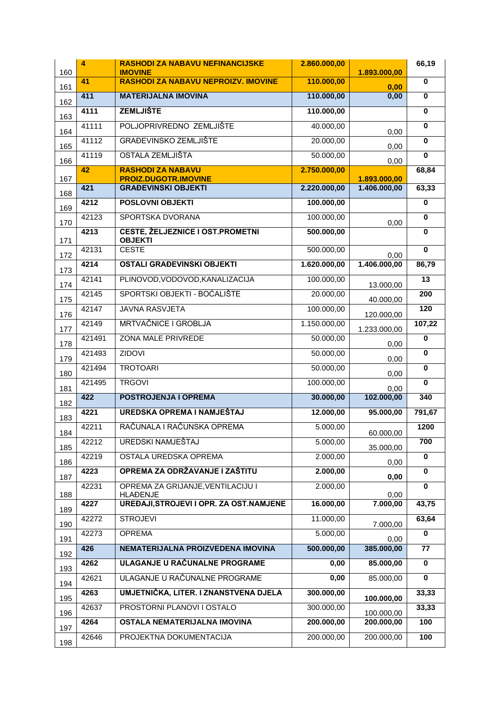| 160        | $\overline{4}$ | <b>RASHODI ZA NABAVU NEFINANCIJSKE</b><br><b>IMOVINE</b>    | 2.860.000,00 | 1.893.000,00             | 66,19                   |
|------------|----------------|-------------------------------------------------------------|--------------|--------------------------|-------------------------|
| 161        | 41             | <b>RASHODI ZA NABAVU NEPROIZV. IMOVINE</b>                  | 110.000,00   | 0,00                     | $\overline{\mathbf{0}}$ |
| 162        | 411            | <b>MATERIJALNA IMOVINA</b>                                  | 110.000,00   | 0,00                     | $\bf{0}$                |
| 163        | 4111           | <b>ZEMLJIŠTE</b>                                            | 110.000,00   |                          | $\overline{\mathbf{0}}$ |
| 164        | 41111          | POLJOPRIVREDNO ZEMLJIŠTE                                    | 40.000,00    | 0,00                     | $\bf{0}$                |
| 165        | 41112          | <b>GRAĐEVINSKO ZEMLJIŠTE</b>                                | 20.000,00    | 0,00                     | $\overline{\mathbf{0}}$ |
| 166        | 41119          | <b>OSTALA ZEMLJIŠTA</b>                                     | 50.000,00    | 0,00                     | $\bf{0}$                |
| 167        | 42             | <b>RASHODI ZA NABAVU</b><br><b>PROIZ.DUGOTR.IMOVINE</b>     | 2.750.000,00 | 1.893.000,00             | 68,84                   |
|            | 421            | <b>GRAĐEVINSKI OBJEKTI</b>                                  | 2.220.000,00 | 1.406.000,00             | 63,33                   |
| 168        | 4212           | <b>POSLOVNI OBJEKTI</b>                                     | 100.000,00   |                          | $\bf{0}$                |
| 169        | 42123          | SPORTSKA DVORANA                                            | 100.000,00   |                          | $\bf{0}$                |
| 170        | 4213           | <b>CESTE, ŽELJEZNICE I OST.PROMETNI</b>                     | 500.000,00   | 0,00                     | $\mathbf 0$             |
| 171        | 42131          | <b>OBJEKTI</b><br><b>CESTE</b>                              | 500.000,00   |                          | $\overline{\mathbf{0}}$ |
| 172        | 4214           | <b>OSTALI GRAĐEVINSKI OBJEKTI</b>                           | 1.620.000,00 | 0,00<br>1.406.000,00     | 86,79                   |
| 173        | 42141          | PLINOVOD, VODOVOD, KANALIZACIJA                             | 100.000,00   |                          | $\overline{13}$         |
| 174        | 42145          | SPORTSKI OBJEKTI - BOĆALIŠTE                                | 20.000,00    | 13.000,00                | 200                     |
| 175        |                | <b>JAVNA RASVJETA</b>                                       |              | 40.000,00                | 120                     |
| 176        | 42147          |                                                             | 100.000,00   | 120.000,00               |                         |
| 177        | 42149          | <b>MRTVAČNICE I GROBLJA</b>                                 | 1.150.000,00 | 1.233.000,00             | 107,22                  |
| 178        | 421491         | <b>ZONA MALE PRIVREDE</b>                                   | 50.000,00    | 0,00                     | $\bf{0}$                |
| 179        | 421493         | <b>ZIDOVI</b>                                               | 50.000,00    | 0,00                     | $\bf{0}$                |
| 180        | 421494         | <b>TROTOARI</b>                                             | 50.000,00    | 0,00                     | $\overline{\mathbf{0}}$ |
| 181        | 421495         | <b>TRGOVI</b>                                               | 100.000,00   | 0,00                     | $\overline{\mathbf{0}}$ |
| 182        | 422            | <b>POSTROJENJA I OPREMA</b>                                 | 30.000,00    | 102.000,00               | 340                     |
| 183        | 4221           | UREDSKA OPREMA I NAMJEŠTAJ                                  | 12.000,00    | 95.000,00                | 791,67                  |
| 184        | 42211          | RAČUNALA I RAČUNSKA OPREMA                                  | 5.000,00     | 60.000,00                | 1200                    |
| 185        | 42212          | UREDSKI NAMJEŠTAJ                                           | 5.000,00     | 35.000,00                | 700                     |
| 186        | 42219          | OSTALA UREDSKA OPREMA                                       | 2.000,00     | 0,00                     | $\mathbf 0$             |
| 187        | 4223           | OPREMA ZA ODRŽAVANJE I ZAŠTITU                              | 2.000,00     | 0,00                     | $\mathbf 0$             |
|            | 42231          | OPREMA ZA GRIJANJE, VENTILACIJU I                           | 2.000,00     |                          | $\bf{0}$                |
| 188<br>189 | 4227           | <b>HLAĐENJE</b><br>UREĐAJI, STROJEVI I OPR. ZA OST. NAMJENE | 16.000,00    | 0,00<br>7.000,00         | 43,75                   |
|            | 42272          | <b>STROJEVI</b>                                             | 11.000,00    | 7.000,00                 | 63,64                   |
| 190        | 42273          | <b>OPREMA</b>                                               | 5.000,00     |                          | 0                       |
| 191        | 426            | NEMATERIJALNA PROIZVEDENA IMOVINA                           | 500.000,00   | 0,00<br>385.000,00       | $\overline{77}$         |
| 192        | 4262           | ULAGANJE U RAČUNALNE PROGRAME                               | 0,00         | 85.000,00                | $\mathbf 0$             |
| 193        | 42621          | ULAGANJE U RAČUNALNE PROGRAME                               | 0,00         | 85.000,00                | $\mathbf 0$             |
| 194        | 4263           | UMJETNIČKA, LITER. I ZNANSTVENA DJELA                       | 300.000,00   |                          | 33,33                   |
| 195        | 42637          | PROSTORNI PLANOVI I OSTALO                                  | 300.000,00   | 100.000,00               | 33,33                   |
| 196        | 4264           | OSTALA NEMATERIJALNA IMOVINA                                | 200.000,00   | 100.000,00<br>200.000,00 | 100                     |
| 197        | 42646          | PROJEKTNA DOKUMENTACIJA                                     | 200.000,00   | 200.000,00               | 100                     |
| 198        |                |                                                             |              |                          |                         |